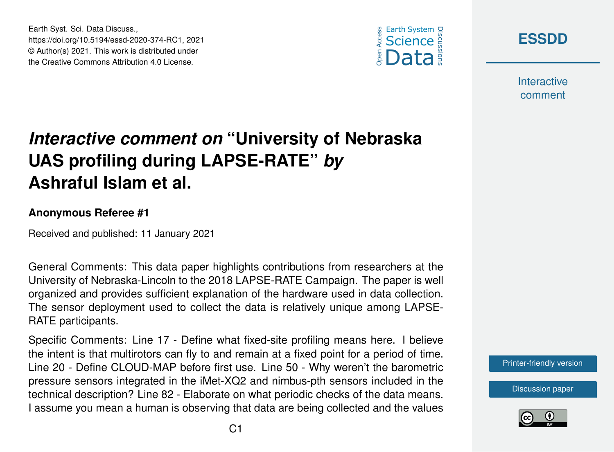





**Interactive** comment

## *Interactive comment on* **"University of Nebraska UAS profiling during LAPSE-RATE"** *by* **Ashraful Islam et al.**

## **Anonymous Referee #1**

Received and published: 11 January 2021

General Comments: This data paper highlights contributions from researchers at the University of Nebraska-Lincoln to the 2018 LAPSE-RATE Campaign. The paper is well organized and provides sufficient explanation of the hardware used in data collection. The sensor deployment used to collect the data is relatively unique among LAPSE-RATE participants.

Specific Comments: Line 17 - Define what fixed-site profiling means here. I believe the intent is that multirotors can fly to and remain at a fixed point for a period of time. Line 20 - Define CLOUD-MAP before first use. Line 50 - Why weren't the barometric pressure sensors integrated in the iMet-XQ2 and nimbus-pth sensors included in the technical description? Line 82 - Elaborate on what periodic checks of the data means. I assume you mean a human is observing that data are being collected and the values



[Discussion paper](https://essd.copernicus.org/preprints/essd-2020-374)